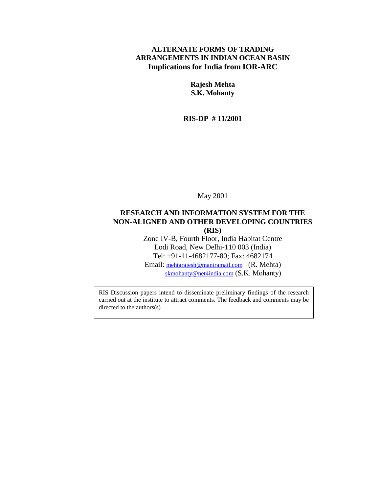#### **ALTERNATE FORMS OF TRADING ARRANGEMENTS IN INDIAN OCEAN BASIN Implications for India from IOR-ARC**

**Rajesh Mehta S.K. Mohanty**

**RIS-DP # 11/2001**

May 2001

### **RESEARCH AND INFORMATION SYSTEM FOR THE NON-ALIGNED AND OTHER DEVELOPING COUNTRIES**

**(RIS)**

Zone IV-B, Fourth Floor, India Habitat Centre Lodi Road, New Delhi-110 003 (India) Tel: +91-11-4682177-80; Fax: 4682174

Email: [mehtarajesh@mantramail.com](mailto:mehtarajesh@mantramail.com) (R. Mehta) [skmohanty@net4india.com](mailto:skmohanty@net4india.com) (S.K. Mohanty)

RIS Discussion papers intend to disseminate preliminary findings of the research carried out at the institute to attract comments. The feedback and comments may be directed to the authors(s)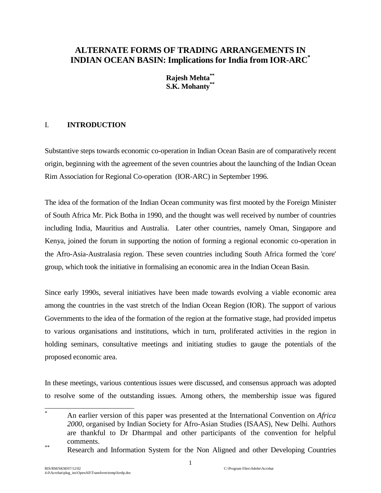## **ALTERNATE FORMS OF TRADING ARRANGEMENTS IN INDIAN OCEAN BASIN: Implications for India from IOR-ARC\***

**Rajesh Mehta\*\* S.K. Mohanty\*\***

### I. **INTRODUCTION**

Substantive steps towards economic co-operation in Indian Ocean Basin are of comparatively recent origin, beginning with the agreement of the seven countries about the launching of the Indian Ocean Rim Association for Regional Co-operation (IOR-ARC) in September 1996.

The idea of the formation of the Indian Ocean community was first mooted by the Foreign Minister of South Africa Mr. Pick Botha in 1990, and the thought was well received by number of countries including India, Mauritius and Australia. Later other countries, namely Oman, Singapore and Kenya, joined the forum in supporting the notion of forming a regional economic co-operation in the Afro-Asia-Australasia region. These seven countries including South Africa formed the 'core' group, which took the initiative in formalising an economic area in the Indian Ocean Basin.

Since early 1990s, several initiatives have been made towards evolving a viable economic area among the countries in the vast stretch of the Indian Ocean Region (IOR). The support of various Governments to the idea of the formation of the region at the formative stage, had provided impetus to various organisations and institutions, which in turn, proliferated activities in the region in holding seminars, consultative meetings and initiating studies to gauge the potentials of the proposed economic area.

In these meetings, various contentious issues were discussed, and consensus approach was adopted to resolve some of the outstanding issues. Among others, the membership issue was figured

 \* An earlier version of this paper was presented at the International Convention on *Africa 2000*, organised by Indian Society for Afro-Asian Studies (ISAAS), New Delhi. Authors are thankful to Dr Dharmpal and other participants of the convention for helpful comments. \*\* Research and Information System for the Non Aligned and other Developing Countries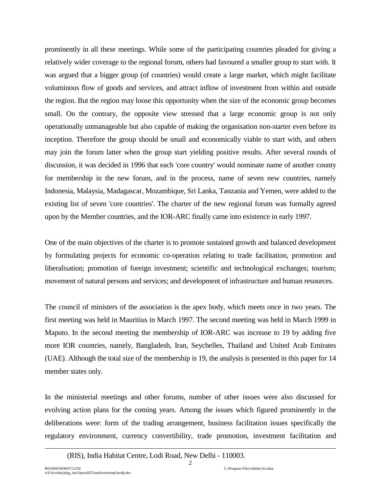prominently in all these meetings. While some of the participating countries pleaded for giving a relatively wider coverage to the regional forum, others had favoured a smaller group to start with. It was argued that a bigger group (of countries) would create a large market, which might facilitate voluminous flow of goods and services, and attract inflow of investment from within and outside the region. But the region may loose this opportunity when the size of the economic group becomes small. On the contrary, the opposite view stressed that a large economic group is not only operationally unmanageable but also capable of making the organisation non-starter even before its inception. Therefore the group should be small and economically viable to start with, and others may join the forum latter when the group start yielding positive results. After several rounds of discussion, it was decided in 1996 that each 'core country' would nominate name of another county for membership in the new forum, and in the process, name of seven new countries, namely Indonesia, Malaysia, Madagascar, Mozambique, Sri Lanka, Tanzania and Yemen, were added to the existing list of seven 'core countries'. The charter of the new regional forum was formally agreed upon by the Member countries, and the IOR-ARC finally came into existence in early 1997.

One of the main objectives of the charter is to promote sustained growth and balanced development by formulating projects for economic co-operation relating to trade facilitation, promotion and liberalisation; promotion of foreign investment; scientific and technological exchanges; tourism; movement of natural persons and services; and development of infrastructure and human resources.

The council of ministers of the association is the apex body, which meets once in two years. The first meeting was held in Mauritius in March 1997. The second meeting was held in March 1999 in Maputo. In the second meeting the membership of IOR-ARC was increase to 19 by adding five more IOR countries, namely, Bangladesh, Iran, Seychelles, Thailand and United Arab Emirates (UAE). Although the total size of the membership is 19, the analysis is presented in this paper for 14 member states only.

In the ministerial meetings and other forums, number of other issues were also discussed for evolving action plans for the coming years. Among the issues which figured prominently in the deliberations were: form of the trading arrangement, business facilitation issues specifically the regulatory environment, currency convertibility, trade promotion, investment facilitation and

 $\overline{\phantom{a}}$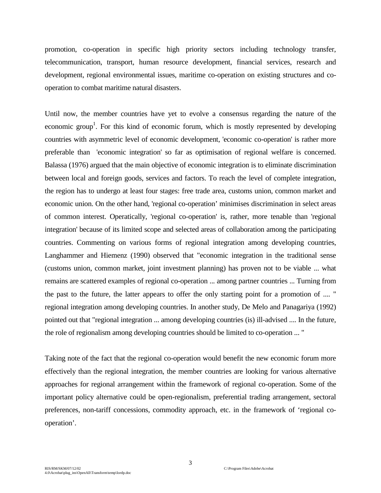promotion, co-operation in specific high priority sectors including technology transfer, telecommunication, transport, human resource development, financial services, research and development, regional environmental issues, maritime co-operation on existing structures and cooperation to combat maritime natural disasters.

Until now, the member countries have yet to evolve a consensus regarding the nature of the economic group<sup>1</sup>. For this kind of economic forum, which is mostly represented by developing countries with asymmetric level of economic development, 'economic co-operation' is rather more preferable than 'economic integration' so far as optimisation of regional welfare is concerned. Balassa (1976) argued that the main objective of economic integration is to eliminate discrimination between local and foreign goods, services and factors. To reach the level of complete integration, the region has to undergo at least four stages: free trade area, customs union, common market and economic union. On the other hand, 'regional co-operation' minimises discrimination in select areas of common interest. Operatically, 'regional co-operation' is, rather, more tenable than 'regional integration' because of its limited scope and selected areas of collaboration among the participating countries. Commenting on various forms of regional integration among developing countries, Langhammer and Hiemenz (1990) observed that "economic integration in the traditional sense (customs union, common market, joint investment planning) has proven not to be viable ... what remains are scattered examples of regional co-operation ... among partner countries ... Turning from the past to the future, the latter appears to offer the only starting point for a promotion of .... " regional integration among developing countries. In another study, De Melo and Panagariya (1992) pointed out that "regional integration ... among developing countries (is) ill-advised .... In the future, the role of regionalism among developing countries should be limited to co-operation ... "

Taking note of the fact that the regional co-operation would benefit the new economic forum more effectively than the regional integration, the member countries are looking for various alternative approaches for regional arrangement within the framework of regional co-operation. Some of the important policy alternative could be open-regionalism, preferential trading arrangement, sectoral preferences, non-tariff concessions, commodity approach, etc. in the framework of 'regional cooperation'.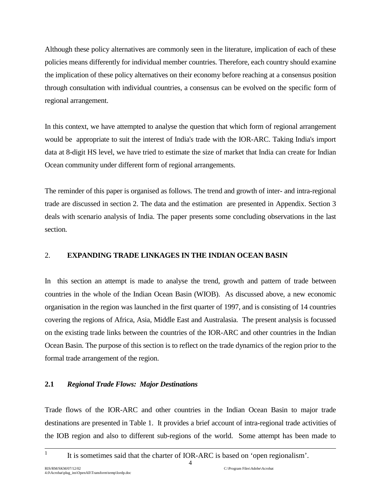Although these policy alternatives are commonly seen in the literature, implication of each of these policies means differently for individual member countries. Therefore, each country should examine the implication of these policy alternatives on their economy before reaching at a consensus position through consultation with individual countries, a consensus can be evolved on the specific form of regional arrangement.

In this context, we have attempted to analyse the question that which form of regional arrangement would be appropriate to suit the interest of India's trade with the IOR-ARC. Taking India's import data at 8-digit HS level, we have tried to estimate the size of market that India can create for Indian Ocean community under different form of regional arrangements.

The reminder of this paper is organised as follows. The trend and growth of inter- and intra-regional trade are discussed in section 2. The data and the estimation are presented in Appendix. Section 3 deals with scenario analysis of India. The paper presents some concluding observations in the last section.

## 2. **EXPANDING TRADE LINKAGES IN THE INDIAN OCEAN BASIN**

In this section an attempt is made to analyse the trend, growth and pattern of trade between countries in the whole of the Indian Ocean Basin (WIOB). As discussed above, a new economic organisation in the region was launched in the first quarter of 1997, and is consisting of 14 countries covering the regions of Africa, Asia, Middle East and Australasia. The present analysis is focussed on the existing trade links between the countries of the IOR-ARC and other countries in the Indian Ocean Basin. The purpose of this section is to reflect on the trade dynamics of the region prior to the formal trade arrangement of the region.

#### **2.1** *Regional Trade Flows: Major Destinations*

Trade flows of the IOR-ARC and other countries in the Indian Ocean Basin to major trade destinations are presented in Table 1. It provides a brief account of intra-regional trade activities of the IOB region and also to different sub-regions of the world. Some attempt has been made to

4

1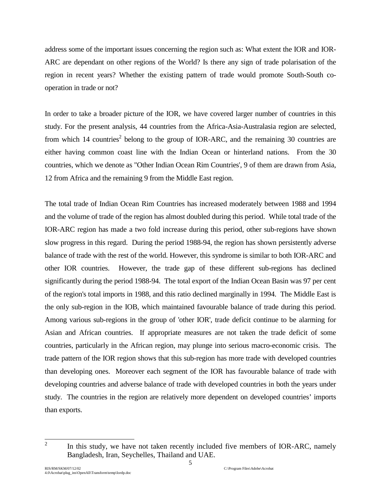address some of the important issues concerning the region such as: What extent the IOR and IOR-ARC are dependant on other regions of the World? Is there any sign of trade polarisation of the region in recent years? Whether the existing pattern of trade would promote South-South cooperation in trade or not?

In order to take a broader picture of the IOR, we have covered larger number of countries in this study. For the present analysis, 44 countries from the Africa-Asia-Australasia region are selected, from which 14 countries<sup>2</sup> belong to the group of IOR-ARC, and the remaining 30 countries are either having common coast line with the Indian Ocean or hinterland nations. From the 30 countries, which we denote as "Other Indian Ocean Rim Countries', 9 of them are drawn from Asia, 12 from Africa and the remaining 9 from the Middle East region.

The total trade of Indian Ocean Rim Countries has increased moderately between 1988 and 1994 and the volume of trade of the region has almost doubled during this period. While total trade of the IOR-ARC region has made a two fold increase during this period, other sub-regions have shown slow progress in this regard. During the period 1988-94, the region has shown persistently adverse balance of trade with the rest of the world. However, this syndrome is similar to both IOR-ARC and other IOR countries. However, the trade gap of these different sub-regions has declined significantly during the period 1988-94. The total export of the Indian Ocean Basin was 97 per cent of the region's total imports in 1988, and this ratio declined marginally in 1994. The Middle East is the only sub-region in the IOB, which maintained favourable balance of trade during this period. Among various sub-regions in the group of 'other IOR', trade deficit continue to be alarming for Asian and African countries. If appropriate measures are not taken the trade deficit of some countries, particularly in the African region, may plunge into serious macro-economic crisis. The trade pattern of the IOR region shows that this sub-region has more trade with developed countries than developing ones. Moreover each segment of the IOR has favourable balance of trade with developing countries and adverse balance of trade with developed countries in both the years under study. The countries in the region are relatively more dependent on developed countries' imports than exports.

<sup>&</sup>lt;sup>2</sup> In this study, we have not taken recently included five members of IOR-ARC, namely Bangladesh, Iran, Seychelles, Thailand and UAE.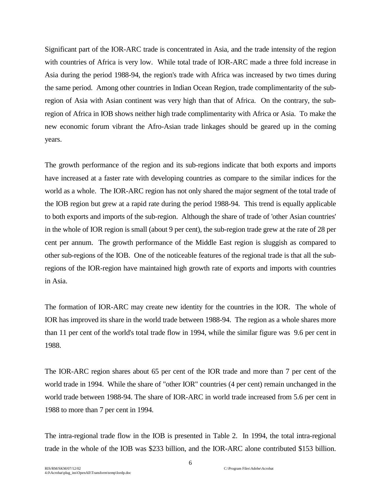Significant part of the IOR-ARC trade is concentrated in Asia, and the trade intensity of the region with countries of Africa is very low. While total trade of IOR-ARC made a three fold increase in Asia during the period 1988-94, the region's trade with Africa was increased by two times during the same period. Among other countries in Indian Ocean Region, trade complimentarity of the subregion of Asia with Asian continent was very high than that of Africa. On the contrary, the subregion of Africa in IOB shows neither high trade complimentarity with Africa or Asia. To make the new economic forum vibrant the Afro-Asian trade linkages should be geared up in the coming years.

The growth performance of the region and its sub-regions indicate that both exports and imports have increased at a faster rate with developing countries as compare to the similar indices for the world as a whole. The IOR-ARC region has not only shared the major segment of the total trade of the IOB region but grew at a rapid rate during the period 1988-94. This trend is equally applicable to both exports and imports of the sub-region. Although the share of trade of 'other Asian countries' in the whole of IOR region is small (about 9 per cent), the sub-region trade grew at the rate of 28 per cent per annum. The growth performance of the Middle East region is sluggish as compared to other sub-regions of the IOB. One of the noticeable features of the regional trade is that all the subregions of the IOR-region have maintained high growth rate of exports and imports with countries in Asia.

The formation of IOR-ARC may create new identity for the countries in the IOR. The whole of IOR has improved its share in the world trade between 1988-94. The region as a whole shares more than 11 per cent of the world's total trade flow in 1994, while the similar figure was 9.6 per cent in 1988.

The IOR-ARC region shares about 65 per cent of the IOR trade and more than 7 per cent of the world trade in 1994. While the share of "other IOR" countries (4 per cent) remain unchanged in the world trade between 1988-94. The share of IOR-ARC in world trade increased from 5.6 per cent in 1988 to more than 7 per cent in 1994.

The intra-regional trade flow in the IOB is presented in Table 2. In 1994, the total intra-regional trade in the whole of the IOB was \$233 billion, and the IOR-ARC alone contributed \$153 billion.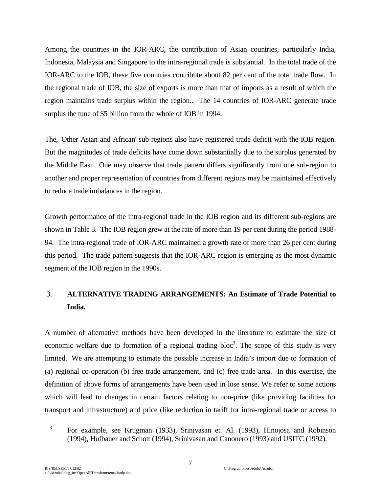Among the countries in the IOR-ARC, the contribution of Asian countries, particularly India, Indonesia, Malaysia and Singapore to the intra-regional trade is substantial. In the total trade of the IOR-ARC to the IOB, these five countries contribute about 82 per cent of the total trade flow. In the regional trade of IOB, the size of exports is more than that of imports as a result of which the region maintains trade surplus within the region.. The 14 countries of IOR-ARC generate trade surplus the tune of \$5 billion from the whole of IOB in 1994.

The, 'Other Asian and African' sub-regions also have registered trade deficit with the IOB region. But the magnitudes of trade deficits have come down substantially due to the surplus generated by the Middle East. One may observe that trade pattern differs significantly from one sub-region to another and proper representation of countries from different regions may be maintained effectively to reduce trade imbalances in the region.

Growth performance of the intra-regional trade in the IOB region and its different sub-regions are shown in Table 3. The IOB region grew at the rate of more than 19 per cent during the period 1988- 94. The intra-regional trade of IOR-ARC maintained a growth rate of more than 26 per cent during this period. The trade pattern suggests that the IOR-ARC region is emerging as the most dynamic segment of the IOB region in the 1990s.

# 3. **ALTERNATIVE TRADING ARRANGEMENTS: An Estimate of Trade Potential to India.**

A number of alternative methods have been developed in the literature to estimate the size of economic welfare due to formation of a regional trading  $bloc<sup>3</sup>$ . The scope of this study is very limited. We are attempting to estimate the possible increase in India's import due to formation of (a) regional co-operation (b) free trade arrangement, and (c) free trade area. In this exercise, the definition of above forms of arrangements have been used in lose sense. We refer to some actions which will lead to changes in certain factors relating to non-price (like providing facilities for transport and infrastructure) and price (like reduction in tariff for intra-regional trade or access to

 $\overline{a}$ 

<sup>3</sup> For example, see Krugman (1933), Srinivasan et. Al. (1993), Hinojosa and Robinson (1994), Hufbauer and Schott (1994), Srinivasan and Canonero (1993) and USITC (1992).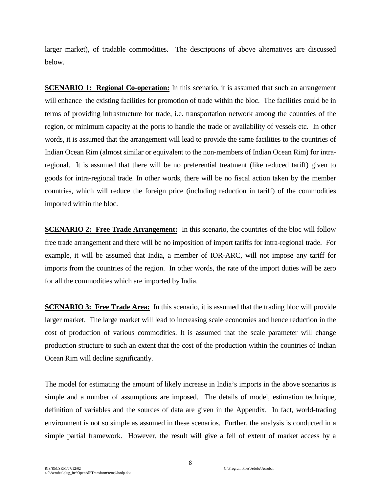larger market), of tradable commodities. The descriptions of above alternatives are discussed below.

**SCENARIO 1: Regional Co-operation:** In this scenario, it is assumed that such an arrangement will enhance the existing facilities for promotion of trade within the bloc. The facilities could be in terms of providing infrastructure for trade, i.e. transportation network among the countries of the region, or minimum capacity at the ports to handle the trade or availability of vessels etc. In other words, it is assumed that the arrangement will lead to provide the same facilities to the countries of Indian Ocean Rim (almost similar or equivalent to the non-members of Indian Ocean Rim) for intraregional. It is assumed that there will be no preferential treatment (like reduced tariff) given to goods for intra-regional trade. In other words, there will be no fiscal action taken by the member countries, which will reduce the foreign price (including reduction in tariff) of the commodities imported within the bloc.

**SCENARIO 2: Free Trade Arrangement:** In this scenario, the countries of the bloc will follow free trade arrangement and there will be no imposition of import tariffs for intra-regional trade. For example, it will be assumed that India, a member of IOR-ARC, will not impose any tariff for imports from the countries of the region. In other words, the rate of the import duties will be zero for all the commodities which are imported by India.

**SCENARIO 3: Free Trade Area:** In this scenario, it is assumed that the trading bloc will provide larger market. The large market will lead to increasing scale economies and hence reduction in the cost of production of various commodities. It is assumed that the scale parameter will change production structure to such an extent that the cost of the production within the countries of Indian Ocean Rim will decline significantly.

The model for estimating the amount of likely increase in India's imports in the above scenarios is simple and a number of assumptions are imposed. The details of model, estimation technique, definition of variables and the sources of data are given in the Appendix. In fact, world-trading environment is not so simple as assumed in these scenarios. Further, the analysis is conducted in a simple partial framework. However, the result will give a fell of extent of market access by a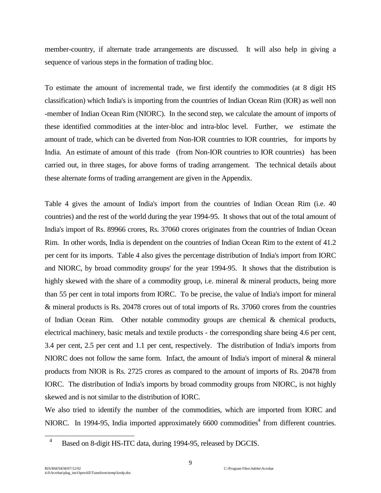member-country, if alternate trade arrangements are discussed. It will also help in giving a sequence of various steps in the formation of trading bloc.

To estimate the amount of incremental trade, we first identify the commodities (at 8 digit HS classification) which India's is importing from the countries of Indian Ocean Rim (IOR) as well non -member of Indian Ocean Rim (NIORC). In the second step, we calculate the amount of imports of these identified commodities at the inter-bloc and intra-bloc level. Further, we estimate the amount of trade, which can be diverted from Non-IOR countries to IOR countries, for imports by India. An estimate of amount of this trade (from Non-IOR countries to IOR countries) has been carried out, in three stages, for above forms of trading arrangement. The technical details about these alternate forms of trading arrangement are given in the Appendix.

Table 4 gives the amount of India's import from the countries of Indian Ocean Rim (i.e. 40 countries) and the rest of the world during the year 1994-95. It shows that out of the total amount of India's import of Rs. 89966 crores, Rs. 37060 crores originates from the countries of Indian Ocean Rim. In other words, India is dependent on the countries of Indian Ocean Rim to the extent of 41.2 per cent for its imports. Table 4 also gives the percentage distribution of India's import from IORC and NIORC, by broad commodity groups' for the year 1994-95. It shows that the distribution is highly skewed with the share of a commodity group, i.e. mineral & mineral products, being more than 55 per cent in total imports from IORC. To be precise, the value of India's import for mineral & mineral products is Rs. 20478 crores out of total imports of Rs. 37060 crores from the countries of Indian Ocean Rim. Other notable commodity groups are chemical & chemical products, electrical machinery, basic metals and textile products - the corresponding share being 4.6 per cent, 3.4 per cent, 2.5 per cent and 1.1 per cent, respectively. The distribution of India's imports from NIORC does not follow the same form. Infact, the amount of India's import of mineral & mineral products from NIOR is Rs. 2725 crores as compared to the amount of imports of Rs. 20478 from IORC. The distribution of India's imports by broad commodity groups from NIORC, is not highly skewed and is not similar to the distribution of IORC.

We also tried to identify the number of the commodities, which are imported from IORC and NIORC. In 1994-95, India imported approximately 6600 commodities<sup>4</sup> from different countries.

 $\overline{\phantom{a}}$ 

<sup>4</sup> Based on 8-digit HS-ITC data, during 1994-95, released by DGCIS.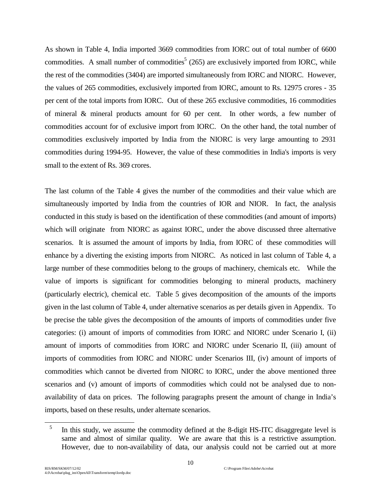As shown in Table 4, India imported 3669 commodities from IORC out of total number of 6600 commodities. A small number of commodities<sup>5</sup> (265) are exclusively imported from IORC, while the rest of the commodities (3404) are imported simultaneously from IORC and NIORC. However, the values of 265 commodities, exclusively imported from IORC, amount to Rs. 12975 crores - 35 per cent of the total imports from IORC. Out of these 265 exclusive commodities, 16 commodities of mineral & mineral products amount for 60 per cent. In other words, a few number of commodities account for of exclusive import from IORC. On the other hand, the total number of commodities exclusively imported by India from the NIORC is very large amounting to 2931 commodities during 1994-95. However, the value of these commodities in India's imports is very small to the extent of Rs. 369 crores.

The last column of the Table 4 gives the number of the commodities and their value which are simultaneously imported by India from the countries of IOR and NIOR. In fact, the analysis conducted in this study is based on the identification of these commodities (and amount of imports) which will originate from NIORC as against IORC, under the above discussed three alternative scenarios. It is assumed the amount of imports by India, from IORC of these commodities will enhance by a diverting the existing imports from NIORC. As noticed in last column of Table 4, a large number of these commodities belong to the groups of machinery, chemicals etc. While the value of imports is significant for commodities belonging to mineral products, machinery (particularly electric), chemical etc. Table 5 gives decomposition of the amounts of the imports given in the last column of Table 4, under alternative scenarios as per details given in Appendix. To be precise the table gives the decomposition of the amounts of imports of commodities under five categories: (i) amount of imports of commodities from IORC and NIORC under Scenario I, (ii) amount of imports of commodities from IORC and NIORC under Scenario II, (iii) amount of imports of commodities from IORC and NIORC under Scenarios III, (iv) amount of imports of commodities which cannot be diverted from NIORC to IORC, under the above mentioned three scenarios and (v) amount of imports of commodities which could not be analysed due to nonavailability of data on prices. The following paragraphs present the amount of change in India's imports, based on these results, under alternate scenarios.

 $\overline{\phantom{a}}$ 

<sup>&</sup>lt;sup>5</sup> In this study, we assume the commodity defined at the 8-digit HS-ITC disaggregate level is same and almost of similar quality. We are aware that this is a restrictive assumption. However, due to non-availability of data, our analysis could not be carried out at more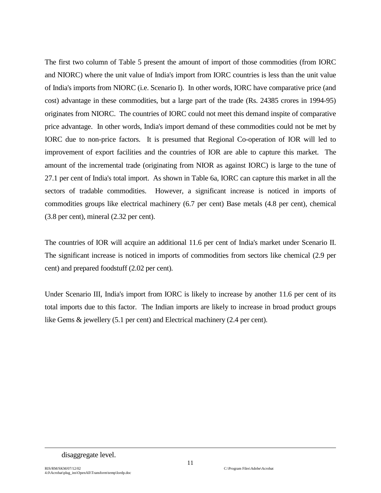The first two column of Table 5 present the amount of import of those commodities (from IORC and NIORC) where the unit value of India's import from IORC countries is less than the unit value of India's imports from NIORC (i.e. Scenario I). In other words, IORC have comparative price (and cost) advantage in these commodities, but a large part of the trade (Rs. 24385 crores in 1994-95) originates from NIORC. The countries of IORC could not meet this demand inspite of comparative price advantage. In other words, India's import demand of these commodities could not be met by IORC due to non-price factors. It is presumed that Regional Co-operation of IOR will led to improvement of export facilities and the countries of IOR are able to capture this market. The amount of the incremental trade (originating from NIOR as against IORC) is large to the tune of 27.1 per cent of India's total import. As shown in Table 6a, IORC can capture this market in all the sectors of tradable commodities. However, a significant increase is noticed in imports of commodities groups like electrical machinery (6.7 per cent) Base metals (4.8 per cent), chemical (3.8 per cent), mineral (2.32 per cent).

The countries of IOR will acquire an additional 11.6 per cent of India's market under Scenario II. The significant increase is noticed in imports of commodities from sectors like chemical (2.9 per cent) and prepared foodstuff (2.02 per cent).

Under Scenario III, India's import from IORC is likely to increase by another 11.6 per cent of its total imports due to this factor. The Indian imports are likely to increase in broad product groups like Gems & jewellery (5.1 per cent) and Electrical machinery (2.4 per cent).

 $\overline{a}$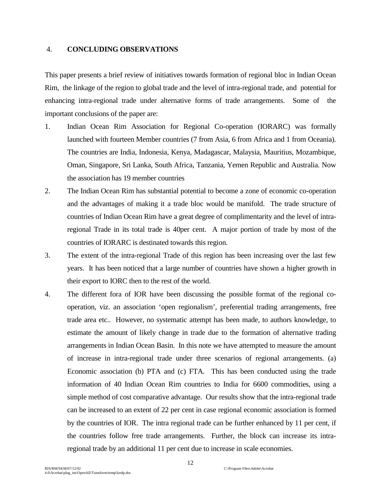#### 4. **CONCLUDING OBSERVATIONS**

This paper presents a brief review of initiatives towards formation of regional bloc in Indian Ocean Rim, the linkage of the region to global trade and the level of intra-regional trade, and potential for enhancing intra-regional trade under alternative forms of trade arrangements. Some of the important conclusions of the paper are:

- 1. Indian Ocean Rim Association for Regional Co-operation (IORARC) was formally launched with fourteen Member countries (7 from Asia, 6 from Africa and 1 from Oceania). The countries are India, Indonesia, Kenya, Madagascar, Malaysia, Mauritius, Mozambique, Oman, Singapore, Sri Lanka, South Africa, Tanzania, Yemen Republic and Australia. Now the association has 19 member countries
- 2. The Indian Ocean Rim has substantial potential to become a zone of economic co-operation and the advantages of making it a trade bloc would be manifold. The trade structure of countries of Indian Ocean Rim have a great degree of complimentarity and the level of intraregional Trade in its total trade is 40per cent. A major portion of trade by most of the countries of IORARC is destinated towards this region.
- 3. The extent of the intra-regional Trade of this region has been increasing over the last few years. It has been noticed that a large number of countries have shown a higher growth in their export to IORC then to the rest of the world.
- 4. The different fora of IOR have been discussing the possible format of the regional cooperation, viz. an association 'open regionalism', preferential trading arrangements, free trade area etc.. However, no systematic attempt has been made, to authors knowledge, to estimate the amount of likely change in trade due to the formation of alternative trading arrangements in Indian Ocean Basin. In this note we have attempted to measure the amount of increase in intra-regional trade under three scenarios of regional arrangements. (a) Economic association (b) PTA and (c) FTA. This has been conducted using the trade information of 40 Indian Ocean Rim countries to India for 6600 commodities, using a simple method of cost comparative advantage. Our results show that the intra-regional trade can be increased to an extent of 22 per cent in case regional economic association is formed by the countries of IOR. The intra regional trade can be further enhanced by 11 per cent, if the countries follow free trade arrangements. Further, the block can increase its intraregional trade by an additional 11 per cent due to increase in scale economies.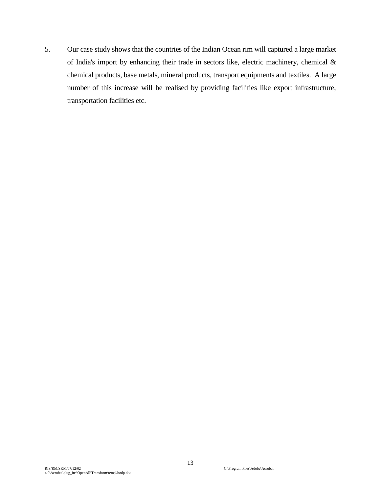5. Our case study shows that the countries of the Indian Ocean rim will captured a large market of India's import by enhancing their trade in sectors like, electric machinery, chemical & chemical products, base metals, mineral products, transport equipments and textiles. A large number of this increase will be realised by providing facilities like export infrastructure, transportation facilities etc.

13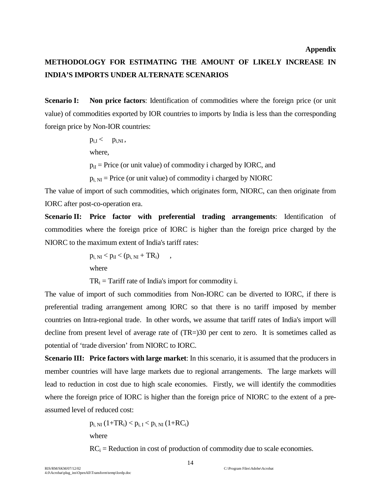# **METHODOLOGY FOR ESTIMATING THE AMOUNT OF LIKELY INCREASE IN INDIA'S IMPORTS UNDER ALTERNATE SCENARIOS**

**Scenario I:** Non price factors: Identification of commodities where the foreign price (or unit value) of commodities exported by IOR countries to imports by India is less than the corresponding foreign price by Non-IOR countries:

 $p_{i,I} < p_{i,NI}$ ,

where,

 $p_{iI}$  = Price (or unit value) of commodity i charged by IORC, and

 $p_{i, NI}$  = Price (or unit value) of commodity i charged by NIORC

The value of import of such commodities, which originates form, NIORC, can then originate from IORC after post-co-operation era.

**Scenario II:** Price factor with preferential trading arrangements: Identification of commodities where the foreign price of IORC is higher than the foreign price charged by the NIORC to the maximum extent of India's tariff rates:

$$
p_{i, NI} < p_{iI} < (p_{i, NI} + TR_i) \quad ,
$$
\nwhere

 $TR_i = Tariff$  rate of India's import for commodity i.

The value of import of such commodities from Non-IORC can be diverted to IORC, if there is preferential trading arrangement among IORC so that there is no tariff imposed by member countries on Intra-regional trade. In other words, we assume that tariff rates of India's import will decline from present level of average rate of (TR=)30 per cent to zero. It is sometimes called as potential of 'trade diversion' from NIORC to IORC.

**Scenario III:** Price factors with large market: In this scenario, it is assumed that the producers in member countries will have large markets due to regional arrangements. The large markets will lead to reduction in cost due to high scale economies. Firstly, we will identify the commodities where the foreign price of IORC is higher than the foreign price of NIORC to the extent of a preassumed level of reduced cost:

> $p_{i, NI}$   $(1+TR_i) < p_{i, I} < p_{i, NI}$   $(1+RC_i)$ where

 $RC<sub>i</sub>$  = Reduction in cost of production of commodity due to scale economies.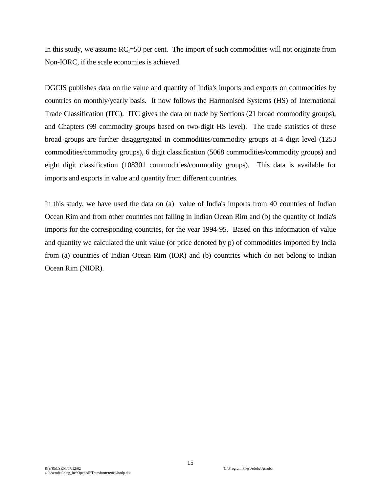In this study, we assume  $RC_i=50$  per cent. The import of such commodities will not originate from Non-IORC, if the scale economies is achieved.

DGCIS publishes data on the value and quantity of India's imports and exports on commodities by countries on monthly/yearly basis. It now follows the Harmonised Systems (HS) of International Trade Classification (ITC). ITC gives the data on trade by Sections (21 broad commodity groups), and Chapters (99 commodity groups based on two-digit HS level). The trade statistics of these broad groups are further disaggregated in commodities/commodity groups at 4 digit level (1253 commodities/commodity groups), 6 digit classification (5068 commodities/commodity groups) and eight digit classification (108301 commodities/commodity groups). This data is available for imports and exports in value and quantity from different countries.

In this study, we have used the data on (a) value of India's imports from 40 countries of Indian Ocean Rim and from other countries not falling in Indian Ocean Rim and (b) the quantity of India's imports for the corresponding countries, for the year 1994-95. Based on this information of value and quantity we calculated the unit value (or price denoted by p) of commodities imported by India from (a) countries of Indian Ocean Rim (IOR) and (b) countries which do not belong to Indian Ocean Rim (NIOR).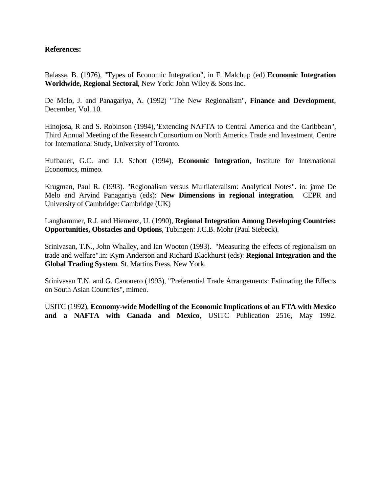#### **References:**

Balassa, B. (1976), "Types of Economic Integration", in F. Malchup (ed) **Economic Integration Worldwide, Regional Sectoral**, New York: John Wiley & Sons Inc.

De Melo, J. and Panagariya, A. (1992) "The New Regionalism", **Finance and Development**, December, Vol. 10.

Hinojosa, R and S. Robinson (1994),"Extending NAFTA to Central America and the Caribbean", Third Annual Meeting of the Research Consortium on North America Trade and Investment, Centre for International Study, University of Toronto.

Hufbauer, G.C. and J.J. Schott (1994), **Economic Integration**, Institute for International Economics, mimeo.

Krugman, Paul R. (1993). "Regionalism versus Multilateralism: Analytical Notes". in: jame De Melo and Arvind Panagariya (eds): **New Dimensions in regional integration**. CEPR and University of Cambridge: Cambridge (UK)

Langhammer, R.J. and Hiemenz, U. (1990), **Regional Integration Among Developing Countries: Opportunities, Obstacles and Options**, Tubingen: J.C.B. Mohr (Paul Siebeck).

Srinivasan, T.N., John Whalley, and Ian Wooton (1993). "Measuring the effects of regionalism on trade and welfare".in: Kym Anderson and Richard Blackhurst (eds): **Regional Integration and the Global Trading System**. St. Martins Press. New York.

Srinivasan T.N. and G. Canonero (1993), "Preferential Trade Arrangements: Estimating the Effects on South Asian Countries", mimeo.

USITC (1992), **Economy-wide Modelling of the Economic Implications of an FTA with Mexico and a NAFTA with Canada and Mexico**, USITC Publication 2516, May 1992.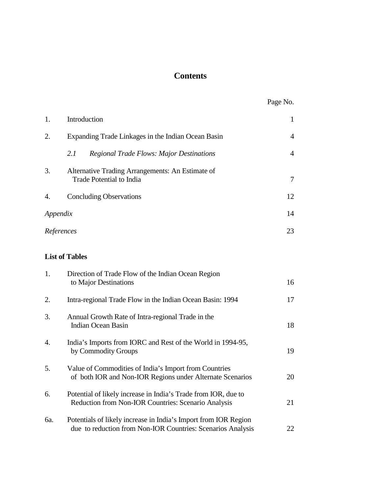## **Contents**

|                       |                                                                                                                                | Page No.       |
|-----------------------|--------------------------------------------------------------------------------------------------------------------------------|----------------|
| 1.                    | Introduction                                                                                                                   | $\mathbf{1}$   |
| 2.                    | Expanding Trade Linkages in the Indian Ocean Basin                                                                             | $\overline{4}$ |
|                       | 2.1<br><b>Regional Trade Flows: Major Destinations</b>                                                                         | $\overline{4}$ |
| 3.                    | Alternative Trading Arrangements: An Estimate of<br>Trade Potential to India                                                   | 7              |
| 4.                    | <b>Concluding Observations</b>                                                                                                 | 12             |
| 14<br>Appendix        |                                                                                                                                |                |
| References            |                                                                                                                                | 23             |
| <b>List of Tables</b> |                                                                                                                                |                |
| 1.                    | Direction of Trade Flow of the Indian Ocean Region<br>to Major Destinations                                                    | 16             |
| 2.                    | Intra-regional Trade Flow in the Indian Ocean Basin: 1994                                                                      | 17             |
| 3.                    | Annual Growth Rate of Intra-regional Trade in the<br><b>Indian Ocean Basin</b>                                                 | 18             |
| 4.                    | India's Imports from IORC and Rest of the World in 1994-95,<br>by Commodity Groups                                             | 19             |
| 5.                    | Value of Commodities of India's Import from Countries<br>of both IOR and Non-IOR Regions under Alternate Scenarios             | 20             |
| 6.                    | Potential of likely increase in India's Trade from IOR, due to<br>Reduction from Non-IOR Countries: Scenario Analysis          | 21             |
| 6a.                   | Potentials of likely increase in India's Import from IOR Region<br>due to reduction from Non-IOR Countries: Scenarios Analysis | 22             |